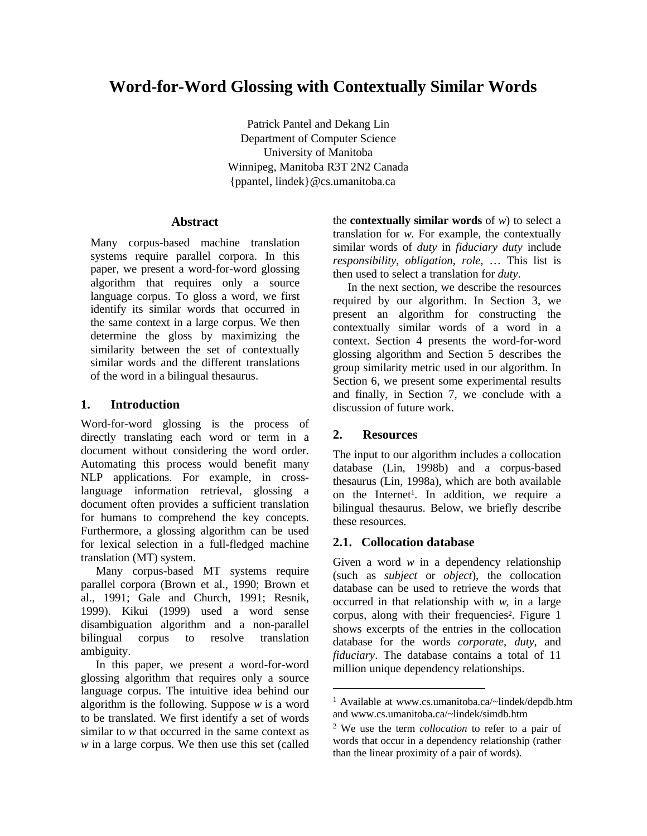# **Word-for-Word Glossing with Contextually Similar Words**

Patrick Pantel and Dekang Lin Department of Computer Science University of Manitoba Winnipeg, Manitoba R3T 2N2 Canada {ppantel, lindek}@cs.umanitoba.ca

## **Abstract**

Many corpus-based machine translation systems require parallel corpora. In this paper, we present a word-for-word glossing algorithm that requires only a source language corpus. To gloss a word, we first identify its similar words that occurred in the same context in a large corpus. We then determine the gloss by maximizing the similarity between the set of contextually similar words and the different translations of the word in a bilingual thesaurus.

## **1. Introduction**

Word-for-word glossing is the process of directly translating each word or term in a document without considering the word order. Automating this process would benefit many NLP applications. For example, in crosslanguage information retrieval, glossing a document often provides a sufficient translation for humans to comprehend the key concepts. Furthermore, a glossing algorithm can be used for lexical selection in a full-fledged machine translation (MT) system.

Many corpus-based MT systems require parallel corpora (Brown et al., 1990; Brown et al., 1991; Gale and Church, 1991; Resnik, 1999). Kikui (1999) used a word sense disambiguation algorithm and a non-parallel bilingual corpus to resolve translation ambiguity.

In this paper, we present a word-for-word glossing algorithm that requires only a source language corpus. The intuitive idea behind our algorithm is the following. Suppose *w* is a word to be translated. We first identify a set of words similar to *w* that occurred in the same context as *w* in a large corpus. We then use this set (called the **contextually similar words** of  $w$ ) to select a translation for *w*. For example, the contextually similar words of *duty* in *fiduciary duty* include *responsibility*, *obligation*, *role*, … This list is then used to select a translation for *duty*.

In the next section, we describe the resources required by our algorithm. In Section 3, we present an algorithm for constructing the contextually similar words of a word in a context. Section 4 presents the word-for-word glossing algorithm and Section 5 describes the group similarity metric used in our algorithm. In Section 6, we present some experimental results and finally, in Section 7, we conclude with a discussion of future work.

# **2. Resources**

 $\overline{a}$ 

The input to our algorithm includes a collocation database (Lin, 1998b) and a corpus-based thesaurus (Lin, 1998a), which are both available on the Internet<sup>1</sup>. In addition, we require a bilingual thesaurus. Below, we briefly describe these resources.

# **2.1. Collocation database**

Given a word *w* in a dependency relationship (such as *subject* or *object*), the collocation database can be used to retrieve the words that occurred in that relationship with *w*, in a large corpus, along with their frequencies<sup>2</sup>. Figure 1 shows excerpts of the entries in the collocation database for the words *corporate*, *duty*, and *fiduciary*. The database contains a total of 11 million unique dependency relationships.

<sup>1</sup> Available at www.cs.umanitoba.ca/~lindek/depdb.htm and www.cs.umanitoba.ca/~lindek/simdb.htm

<sup>2</sup> We use the term *collocation* to refer to a pair of words that occur in a dependency relationship (rather than the linear proximity of a pair of words).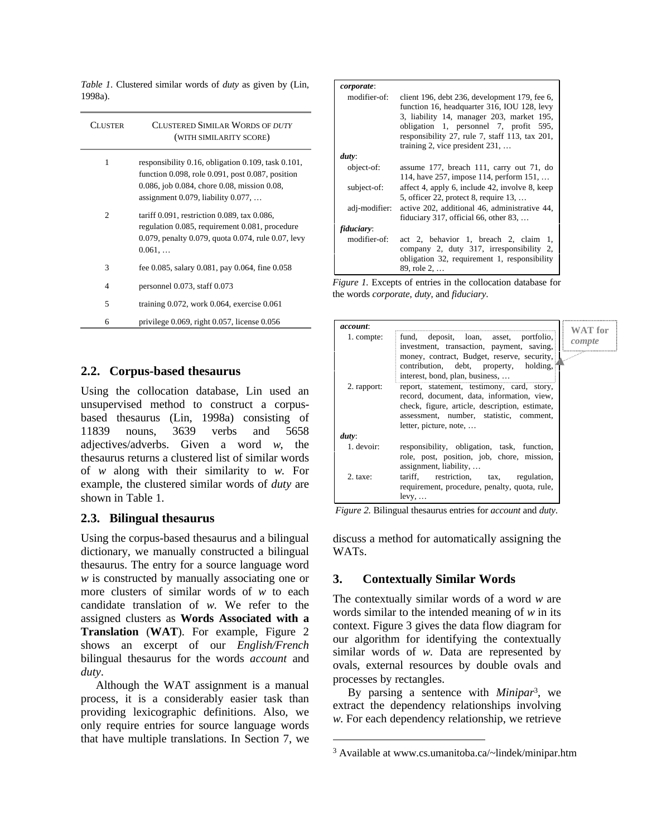*Table 1*. Clustered similar words of *duty* as given by (Lin, 1998a).

| Cluster | CLUSTERED SIMILAR WORDS OF DUTY<br>(WITH SIMILARITY SCORE)                                                                                                                                                 |
|---------|------------------------------------------------------------------------------------------------------------------------------------------------------------------------------------------------------------|
| 1       | responsibility 0.16, obligation 0.109, task 0.101,<br>function $0.098$ , role $0.091$ , post $0.087$ , position<br>0.086, job 0.084, chore 0.08, mission 0.08,<br>assignment $0.079$ , liability $0.077$ , |
| 2       | tariff $0.091$ , restriction 0.089, tax 0.086,<br>regulation 0.085, requirement 0.081, procedure<br>0.079, penalty 0.079, quota 0.074, rule 0.07, levy<br>0.061,                                           |
| 3       | fee 0.085, salary 0.081, pay 0.064, fine 0.058                                                                                                                                                             |
| 4       | personnel $0.073$ , staff $0.073$                                                                                                                                                                          |
| 5       | training $0.072$ , work $0.064$ , exercise $0.061$                                                                                                                                                         |
| 6       | privilege $0.069$ , right $0.057$ , license $0.056$                                                                                                                                                        |

## **2.2. Corpus-based thesaurus**

Using the collocation database, Lin used an unsupervised method to construct a corpusbased thesaurus (Lin, 1998a) consisting of 11839 nouns, 3639 verbs and 5658 adjectives/adverbs. Given a word *w*, the thesaurus returns a clustered list of similar words of *w* along with their similarity to *w*. For example, the clustered similar words of *duty* are shown in Table 1.

## **2.3. Bilingual thesaurus**

Using the corpus-based thesaurus and a bilingual dictionary, we manually constructed a bilingual thesaurus. The entry for a source language word *w* is constructed by manually associating one or more clusters of similar words of *w* to each candidate translation of *w*. We refer to the assigned clusters as **Words Associated with a Translation** (**WAT**). For example, Figure 2 shows an excerpt of our *English/French* bilingual thesaurus for the words *account* and *duty*.

Although the WAT assignment is a manual process, it is a considerably easier task than providing lexicographic definitions. Also, we only require entries for source language words that have multiple translations. In Section 7, we

| <i>corporate:</i><br>modifier-of: | client 196, debt 236, development 179, fee 6,<br>function 16, headquarter 316, IOU 128, levy<br>3, liability 14, manager 203, market 195,<br>obligation 1, personnel 7, profit 595,<br>responsibility 27, rule 7, staff 113, tax 201,<br>training 2, vice president $231, \ldots$ |  |
|-----------------------------------|-----------------------------------------------------------------------------------------------------------------------------------------------------------------------------------------------------------------------------------------------------------------------------------|--|
|                                   |                                                                                                                                                                                                                                                                                   |  |
| duty:                             |                                                                                                                                                                                                                                                                                   |  |
| object-of:                        | assume 177, breach 111, carry out 71, do<br>114, have 257, impose 114, perform 151,                                                                                                                                                                                               |  |
| subject-of:                       | affect 4, apply 6, include 42, involve 8, keep<br>5, officer 22, protect 8, require $13, \ldots$                                                                                                                                                                                  |  |
| adj-modifier:                     | active 202, additional 46, administrative 44,<br>fiduciary 317, official 66, other 83, $\dots$                                                                                                                                                                                    |  |
| fiduciary:                        |                                                                                                                                                                                                                                                                                   |  |
| modifier-of:                      | act 2, behavior 1, breach 2, claim<br>-1,<br>company 2, duty 317, irresponsibility 2,<br>obligation 32, requirement 1, responsibility<br>89, role 2,                                                                                                                              |  |

*Figure 1.* Excepts of entries in the collocation database for the words *corporate*, *duty*, and *fiduciary*.

| <i>account:</i> |                                                                                                                                                                                                                                                    | WAT for |
|-----------------|----------------------------------------------------------------------------------------------------------------------------------------------------------------------------------------------------------------------------------------------------|---------|
| 1. compte:      | fund, deposit, loan, asset, portfolio,<br>investment, transaction, payment, saving,<br>money, contract, Budget, reserve, security,<br>contribution, debt, property, holding,                                                                       | compte  |
| 2. rapport:     | interest, bond, plan, business,<br>report, statement, testimony, card, story,<br>record, document, data, information, view,<br>check, figure, article, description, estimate,<br>assessment, number, statistic, comment,<br>letter, picture, note, |         |
| duty:           |                                                                                                                                                                                                                                                    |         |
| 1. devoir:      | responsibility, obligation, task, function,<br>role, post, position, job, chore, mission,<br>assignment, liability,                                                                                                                                |         |
| 2. taxe:        | tariff, restriction, tax, regulation,<br>requirement, procedure, penalty, quota, rule,<br>$levy, \ldots$                                                                                                                                           |         |

*Figure 2.* Bilingual thesaurus entries for *account* and *duty*.

discuss a method for automatically assigning the WATs.

## **3. Contextually Similar Words**

The contextually similar words of a word *w* are words similar to the intended meaning of *w* in its context. Figure 3 gives the data flow diagram for our algorithm for identifying the contextually similar words of *w*. Data are represented by ovals, external resources by double ovals and processes by rectangles.

By parsing a sentence with *Minipar*<sup>3</sup> , we extract the dependency relationships involving *w*. For each dependency relationship, we retrieve

 $\overline{a}$ 

<sup>3</sup> Available at www.cs.umanitoba.ca/~lindek/minipar.htm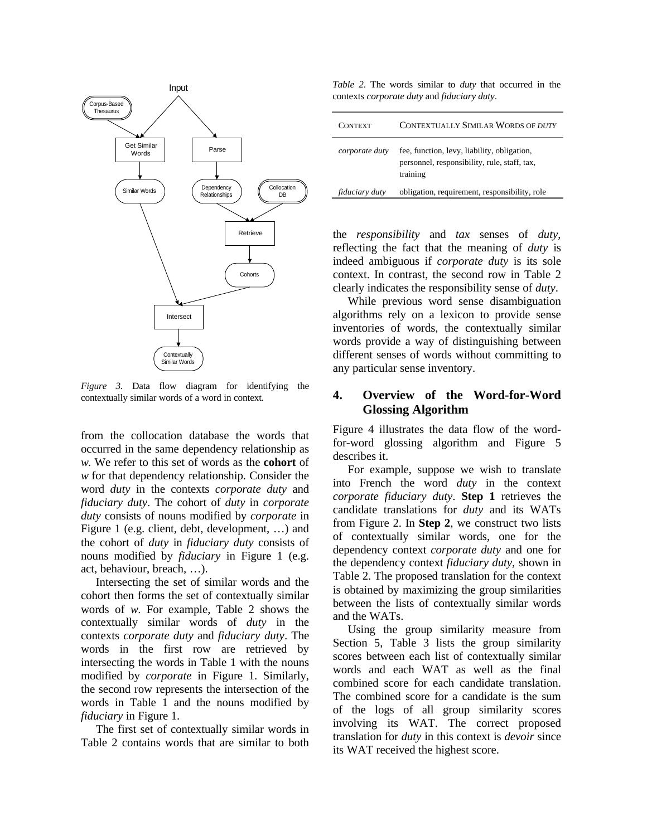

*Figure 3.* Data flow diagram for identifying the contextually similar words of a word in context.

from the collocation database the words that occurred in the same dependency relationship as *w*. We refer to this set of words as the **cohort** of *w* for that dependency relationship. Consider the word *duty* in the contexts *corporate duty* and *fiduciary duty*. The cohort of *duty* in *corporate duty* consists of nouns modified by *corporate* in Figure 1 (e.g. client, debt, development, …) and the cohort of *duty* in *fiduciary duty* consists of nouns modified by *fiduciary* in Figure 1 (e.g. act, behaviour, breach, …).

Intersecting the set of similar words and the cohort then forms the set of contextually similar words of *w*. For example, Table 2 shows the contextually similar words of *duty* in the contexts *corporate duty* and *fiduciary duty*. The words in the first row are retrieved by intersecting the words in Table 1 with the nouns modified by *corporate* in Figure 1. Similarly, the second row represents the intersection of the words in Table 1 and the nouns modified by *fiduciary* in Figure 1.

The first set of contextually similar words in Table 2 contains words that are similar to both

*Table 2*. The words similar to *duty* that occurred in the contexts *corporate duty* and *fiduciary duty*.

| <b>CONTEXT</b>        | <b>CONTEXTUALLY SIMILAR WORDS OF DUTY</b>                                                               |
|-----------------------|---------------------------------------------------------------------------------------------------------|
| corporate duty        | fee, function, levy, liability, obligation,<br>personnel, responsibility, rule, staff, tax,<br>training |
| <i>fiduciary duty</i> | obligation, requirement, responsibility, role                                                           |

the *responsibility* and *tax* senses of *duty*, reflecting the fact that the meaning of *duty* is indeed ambiguous if *corporate duty* is its sole context. In contrast, the second row in Table 2 clearly indicates the responsibility sense of *duty*.

While previous word sense disambiguation algorithms rely on a lexicon to provide sense inventories of words, the contextually similar words provide a way of distinguishing between different senses of words without committing to any particular sense inventory.

# **4. Overview of the Word-for-Word Glossing Algorithm**

Figure 4 illustrates the data flow of the wordfor-word glossing algorithm and Figure 5 describes it.

For example, suppose we wish to translate into French the word *duty* in the context *corporate fiduciary duty*. **Step 1** retrieves the candidate translations for *duty* and its WATs from Figure 2. In **Step 2**, we construct two lists of contextually similar words, one for the dependency context *corporate duty* and one for the dependency context *fiduciary duty*, shown in Table 2. The proposed translation for the context is obtained by maximizing the group similarities between the lists of contextually similar words and the WATs.

Using the group similarity measure from Section 5, Table 3 lists the group similarity scores between each list of contextually similar words and each WAT as well as the final combined score for each candidate translation. The combined score for a candidate is the sum of the logs of all group similarity scores involving its WAT. The correct proposed translation for *duty* in this context is *devoir* since its WAT received the highest score.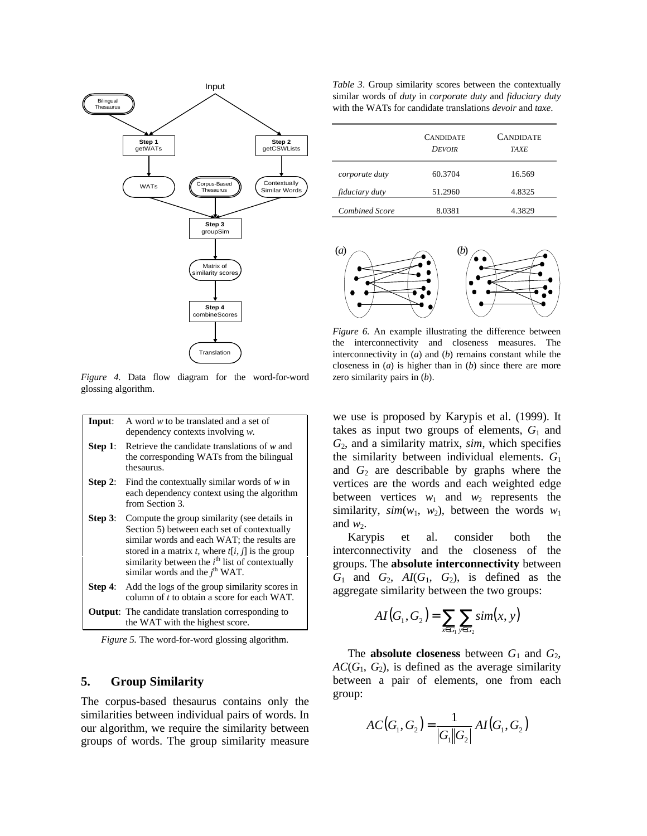

*Figure 4.* Data flow diagram for the word-for-word glossing algorithm.

|                                                                  | <b>Input:</b> A word $w$ to be translated and a set of<br>dependency contexts involving $w$ .                  |
|------------------------------------------------------------------|----------------------------------------------------------------------------------------------------------------|
| $\mathbf{C}$ $\mathbf{A}$ $\mathbf{A}$ $\mathbf{A}$ $\mathbf{A}$ | and the second second to the second second continuous control of the second second second second second second |

- **Step 1**: Retrieve the candidate translations of *w* and the corresponding WATs from the bilingual thesaurus.
- **Step 2**: Find the contextually similar words of *w* in each dependency context using the algorithm from Section 3.
- **Step 3:** Compute the group similarity (see details in Section 5) between each set of contextually similar words and each WAT; the results are stored in a matrix  $t$ , where  $t[i, j]$  is the group similarity between the *i*<sup>th</sup> list of contextually similar words and the  $j^{\text{th}}$  WAT.
- **Step 4:** Add the logs of the group similarity scores in column of *t* to obtain a score for each WAT.
- **Output**: The candidate translation corresponding to the WAT with the highest score.

*Figure 5.* The word-for-word glossing algorithm.

#### **5. Group Similarity**

The corpus-based thesaurus contains only the similarities between individual pairs of words. In our algorithm, we require the similarity between groups of words. The group similarity measure

*Table 3*. Group similarity scores between the contextually similar words of *duty* in *corporate duty* and *fiduciary duty* with the WATs for candidate translations *devoir* and *taxe*.

|                       | <b>CANDIDATE</b><br><b>DEVOIR</b> | <b>CANDIDATE</b><br><b>TAXE</b> |
|-----------------------|-----------------------------------|---------------------------------|
| corporate duty        | 60.3704                           | 16.569                          |
| <i>fiduciary duty</i> | 51.2960                           | 4.8325                          |
| <b>Combined Score</b> | 8.0381                            | 4.3829                          |



*Figure 6.* An example illustrating the difference between the interconnectivity and closeness measures. The interconnectivity in (*a*) and (*b*) remains constant while the closeness in (*a*) is higher than in (*b*) since there are more zero similarity pairs in (*b*).

we use is proposed by Karypis et al. (1999). It takes as input two groups of elements,  $G_1$  and *G*2, and a similarity matrix, *sim*, which specifies the similarity between individual elements. *G*<sup>1</sup> and  $G_2$  are describable by graphs where the vertices are the words and each weighted edge between vertices  $w_1$  and  $w_2$  represents the similarity,  $sim(w_1, w_2)$ , between the words  $w_1$ and  $w_2$ .

Karypis et al. consider both the interconnectivity and the closeness of the groups. The **absolute interconnectivity** between  $G_1$  and  $G_2$ ,  $AI(G_1, G_2)$ , is defined as the aggregate similarity between the two groups:

$$
AI(G_1, G_2) = \sum_{x \in G_1} \sum_{y \in G_2} sim(x, y)
$$

The **absolute closeness** between  $G_1$  and  $G_2$ ,  $AC(G_1, G_2)$ , is defined as the average similarity between a pair of elements, one from each group:

$$
AC(G_1, G_2) = \frac{1}{|G_1||G_2|} AI(G_1, G_2)
$$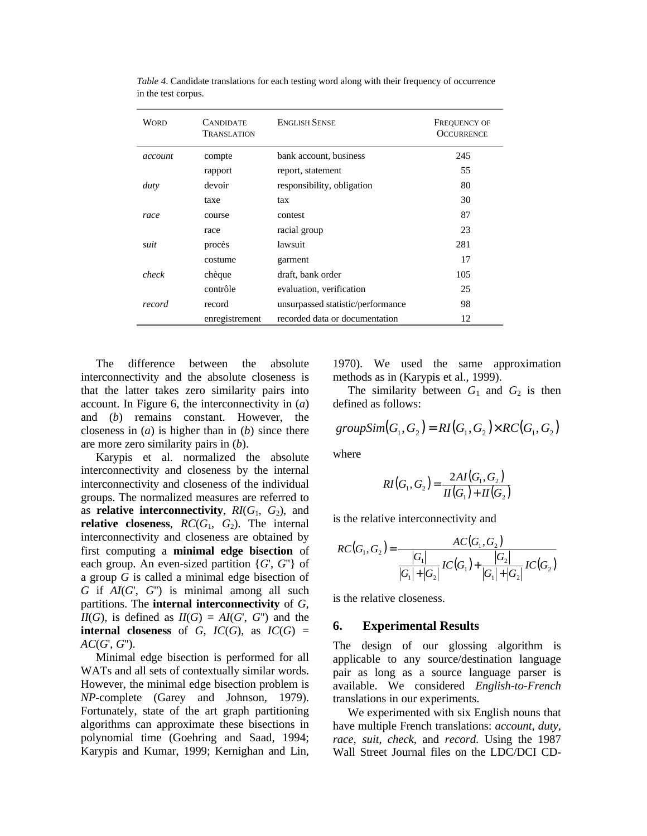| <b>WORD</b> | CANDIDATE<br><b>TRANSLATION</b> | <b>ENGLISH SENSE</b>              | <b>FREQUENCY OF</b><br><b>OCCURRENCE</b> |
|-------------|---------------------------------|-----------------------------------|------------------------------------------|
| account     | compte                          | bank account, business            | 245                                      |
|             | rapport                         | report, statement                 | 55                                       |
| duty        | devoir                          | responsibility, obligation        | 80                                       |
|             | taxe                            | tax                               | 30                                       |
| race        | course                          | contest                           | 87                                       |
|             | race                            | racial group                      | 23                                       |
| suit        | procès                          | lawsuit                           | 281                                      |
|             | costume                         | garment                           | 17                                       |
| check       | chèque                          | draft, bank order                 | 105                                      |
|             | contrôle                        | evaluation, verification          | 25                                       |
| record      | record                          | unsurpassed statistic/performance | 98                                       |
|             | enregistrement                  | recorded data or documentation    | 12                                       |

*Table 4*. Candidate translations for each testing word along with their frequency of occurrence in the test corpus.

The difference between the absolute interconnectivity and the absolute closeness is that the latter takes zero similarity pairs into account. In Figure 6, the interconnectivity in (*a*) and (*b*) remains constant. However, the closeness in (*a*) is higher than in (*b*) since there are more zero similarity pairs in (*b*).

Karypis et al. normalized the absolute interconnectivity and closeness by the internal interconnectivity and closeness of the individual groups. The normalized measures are referred to as **relative interconnectivity**, *RI*(*G*1, *G*2), and **relative closeness**,  $RC(G_1, G_2)$ . The internal interconnectivity and closeness are obtained by first computing a **minimal edge bisection** of each group. An even-sized partition {*G*', *G*''} of a group *G* is called a minimal edge bisection of *G* if *AI*(*G*', *G*'') is minimal among all such partitions. The **internal interconnectivity** of *G*,  $I\!I\!I(G)$ , is defined as  $I\!I(G) = AI(G', G'')$  and the **internal closeness** of *G*,  $IC(G)$ , as  $IC(G)$  = *AC*(*G*', *G*'').

Minimal edge bisection is performed for all WATs and all sets of contextually similar words. However, the minimal edge bisection problem is *NP*-complete (Garey and Johnson, 1979). Fortunately, state of the art graph partitioning algorithms can approximate these bisections in polynomial time (Goehring and Saad, 1994; Karypis and Kumar, 1999; Kernighan and Lin,

1970). We used the same approximation methods as in (Karypis et al., 1999).

The similarity between  $G_1$  and  $G_2$  is then defined as follows:

$$
groupSim(G1, G2) = RI(G1, G2) \times RC(G1, G2)
$$

where

$$
RI(G_1, G_2) = \frac{2AI(G_1, G_2)}{II(G_1) + II(G_2)}
$$

is the relative interconnectivity and

$$
RC(G_1, G_2) = \frac{AC(G_1, G_2)}{|G_1| + |G_2|} IC(G_1) + \frac{|G_2|}{|G_1| + |G_2|} IC(G_2)
$$

is the relative closeness.

#### **6. Experimental Results**

The design of our glossing algorithm is applicable to any source/destination language pair as long as a source language parser is available. We considered *English-to-French* translations in our experiments.

We experimented with six English nouns that have multiple French translations: *account*, *duty*, *race*, *suit*, *check*, and *record*. Using the 1987 Wall Street Journal files on the LDC/DCI CD-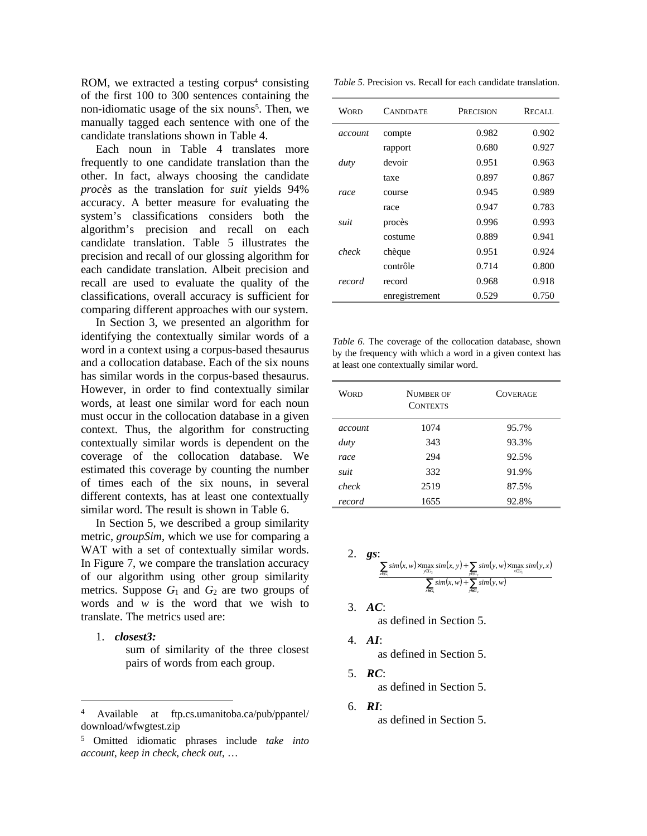ROM, we extracted a testing corpus<sup>4</sup> consisting of the first 100 to 300 sentences containing the non-idiomatic usage of the six nouns<sup>5</sup>. Then, we manually tagged each sentence with one of the candidate translations shown in Table 4.

Each noun in Table 4 translates more frequently to one candidate translation than the other. In fact, always choosing the candidate *procès* as the translation for *suit* yields 94% accuracy. A better measure for evaluating the system's classifications considers both the algorithm's precision and recall on each candidate translation. Table 5 illustrates the precision and recall of our glossing algorithm for each candidate translation. Albeit precision and recall are used to evaluate the quality of the classifications, overall accuracy is sufficient for comparing different approaches with our system.

In Section 3, we presented an algorithm for identifying the contextually similar words of a word in a context using a corpus-based thesaurus and a collocation database. Each of the six nouns has similar words in the corpus-based thesaurus. However, in order to find contextually similar words, at least one similar word for each noun must occur in the collocation database in a given context. Thus, the algorithm for constructing contextually similar words is dependent on the coverage of the collocation database. We estimated this coverage by counting the number of times each of the six nouns, in several different contexts, has at least one contextually similar word. The result is shown in Table 6.

In Section 5, we described a group similarity metric, *groupSim*, which we use for comparing a WAT with a set of contextually similar words. In Figure 7, we compare the translation accuracy of our algorithm using other group similarity metrics. Suppose  $G_1$  and  $G_2$  are two groups of words and *w* is the word that we wish to translate. The metrics used are:

1. *closest3:*

 $\overline{a}$ 

sum of similarity of the three closest pairs of words from each group.

| <i>Table 5.</i> Precision vs. Recall for each candidate translation. |  |
|----------------------------------------------------------------------|--|
|----------------------------------------------------------------------|--|

| <b>WORD</b> | <b>CANDIDATE</b> | PRECISION | RECALL |
|-------------|------------------|-----------|--------|
| account     | compte           | 0.982     | 0.902  |
|             | rapport          | 0.680     | 0.927  |
| duty        | devoir           | 0.951     | 0.963  |
|             | taxe             | 0.897     | 0.867  |
| race        | course           | 0.945     | 0.989  |
|             | race             | 0.947     | 0.783  |
| suit        | procès           | 0.996     | 0.993  |
|             | costume          | 0.889     | 0.941  |
| check       | chèque           | 0.951     | 0.924  |
|             | contrôle         | 0.714     | 0.800  |
| record      | record           | 0.968     | 0.918  |
|             | enregistrement   | 0.529     | 0.750  |

*Table 6*. The coverage of the collocation database, shown by the frequency with which a word in a given context has at least one contextually similar word.

| Word    | <b>NUMBER OF</b><br><b>CONTEXTS</b> | <b>COVERAGE</b> |
|---------|-------------------------------------|-----------------|
| account | 1074                                | 95.7%           |
| duty    | 343                                 | 93.3%           |
| race    | 294                                 | 92.5%           |
| suit    | 332                                 | 91.9%           |
| check   | 2519                                | 87.5%           |
| record  | 1655                                | 92.8%           |

2. *gs*:  $(x, w) \times \max \, sim(x, y) + \sum \, sim(y, w) \times \max \, sim(y, x)$  $\sum \text{sim}(x, w) + \sum \text{sim}(y, w)$  $\sum$ sim $(x, w) \times \max_{y \in G} \text{sim}(x, y) + \sum$  $\in G_1$  year  $\epsilon G_1$   $\epsilon G_2$   $\epsilon G_3$   $\epsilon G_4$   $\epsilon G_5$   $\epsilon G_6$   $\epsilon G_7$   $\epsilon G_8$ +  $\sum_{y \in G_2} sim(x, w) \times \max_{y \in G_2} sim(x, y) + \sum_{y \in G_2} sim(y, w) \times \max_{x \in G_1}$ <br> $\sum_{x \in G_1} sim(x, w) + \sum_{y \in G_2} sim(y, w)$ 1  $y \in G_2$  $, w$ ) $\times$  max  $sim(x, y)$  +  $\sum$   $sim(y, w)$  $\times$  max  $sim(y, w)$  $x \in G_1$   $y \in G$  $x \in G_1$   $y \in G_2$   $y \in G_2$   $y \in G$  $\lim(x, w) + \sum \lim(y, w)$  $\lim(x, w) \times \max \lim(x, y) + \sum \lim(y, w) \times \max \lim(y, x)$ 

3. *AC*:

as defined in Section 5.

- 4. *AI*: as defined in Section 5.
- 5. *RC*: as defined in Section 5.
- 6. *RI*: as defined in Section 5.

<sup>4</sup> Available at ftp.cs.umanitoba.ca/pub/ppantel/ download/wfwgtest.zip

<sup>5</sup> Omitted idiomatic phrases include *take into account*, *keep in check*, *check out*, …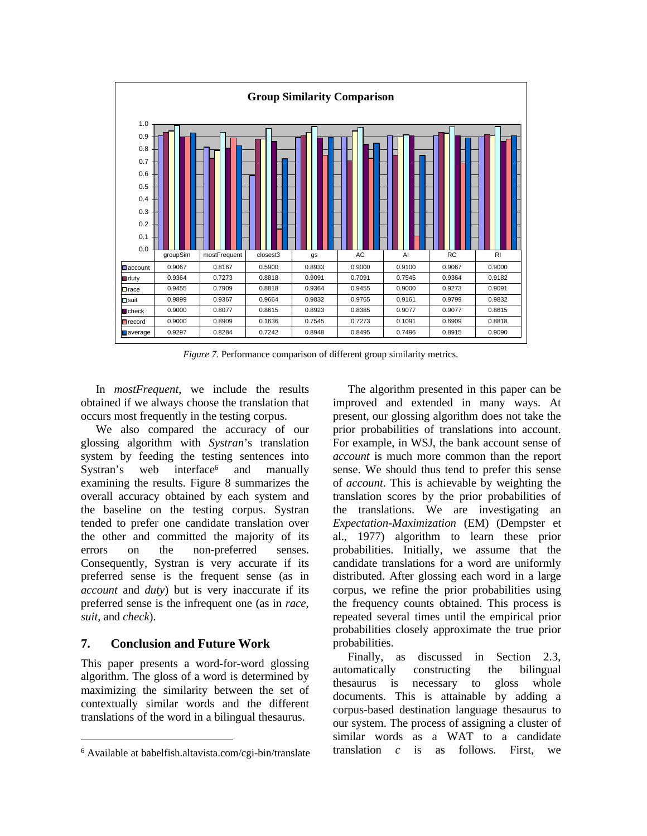

*Figure 7.* Performance comparison of different group similarity metrics.

In *mostFrequent*, we include the results obtained if we always choose the translation that occurs most frequently in the testing corpus.

We also compared the accuracy of our glossing algorithm with *Systran*'s translation system by feeding the testing sentences into Systran's web interface<sup>6</sup> and manually examining the results. Figure 8 summarizes the overall accuracy obtained by each system and the baseline on the testing corpus. Systran tended to prefer one candidate translation over the other and committed the majority of its errors on the non-preferred senses. Consequently, Systran is very accurate if its preferred sense is the frequent sense (as in *account* and *duty*) but is very inaccurate if its preferred sense is the infrequent one (as in *race*, *suit*, and *check*).

## **7. Conclusion and Future Work**

 $\overline{a}$ 

This paper presents a word-for-word glossing algorithm. The gloss of a word is determined by maximizing the similarity between the set of contextually similar words and the different translations of the word in a bilingual thesaurus.

The algorithm presented in this paper can be improved and extended in many ways. At present, our glossing algorithm does not take the prior probabilities of translations into account. For example, in WSJ, the bank account sense of *account* is much more common than the report sense. We should thus tend to prefer this sense of *account*. This is achievable by weighting the translation scores by the prior probabilities of the translations. We are investigating an *Expectation-Maximization* (EM) (Dempster et al., 1977) algorithm to learn these prior probabilities. Initially, we assume that the candidate translations for a word are uniformly distributed. After glossing each word in a large corpus, we refine the prior probabilities using the frequency counts obtained. This process is repeated several times until the empirical prior probabilities closely approximate the true prior probabilities.

Finally, as discussed in Section 2.3, automatically constructing the bilingual thesaurus is necessary to gloss whole documents. This is attainable by adding a corpus-based destination language thesaurus to our system. The process of assigning a cluster of similar words as a WAT to a candidate translation *c* is as follows. First, we

<sup>6</sup> Available at babelfish.altavista.com/cgi-bin/translate